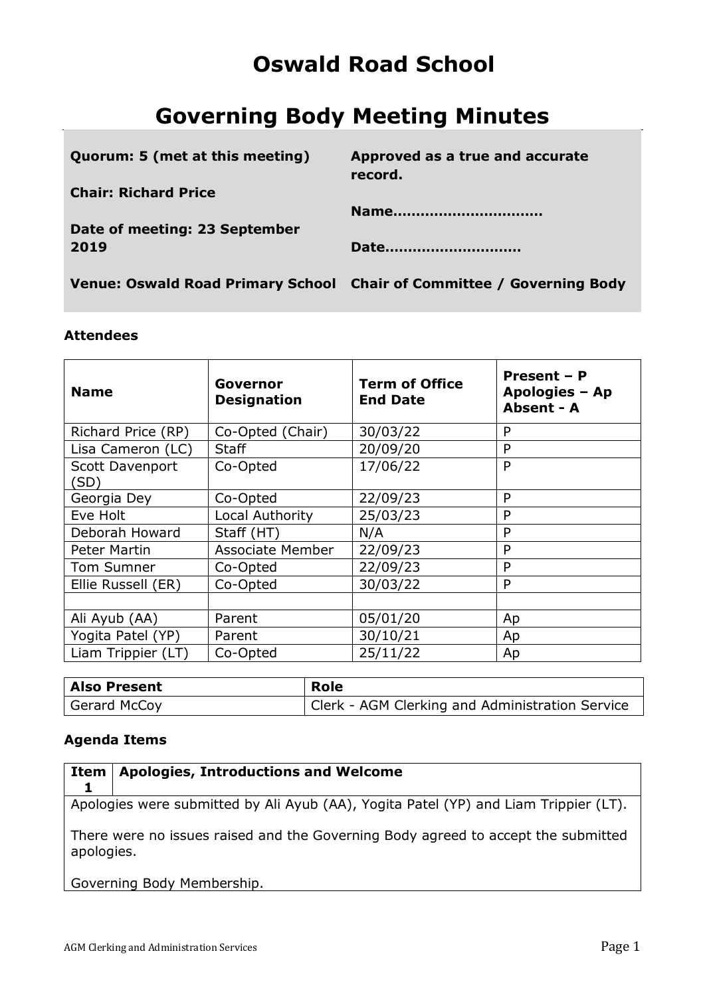# **Oswald Road School**

# **Governing Body Meeting Minutes**

| Quorum: 5 (met at this meeting) | Approved as a true and accurate<br>record.                            |
|---------------------------------|-----------------------------------------------------------------------|
| <b>Chair: Richard Price</b>     | Name                                                                  |
| Date of meeting: 23 September   |                                                                       |
| 2019                            | Date                                                                  |
|                                 | Venue: Oswald Road Primary School Chair of Committee / Governing Body |

### **Attendees**

| <b>Name</b>             | Governor<br><b>Designation</b> | <b>Term of Office</b><br><b>End Date</b> | Present - P<br>Apologies - Ap<br><b>Absent - A</b> |
|-------------------------|--------------------------------|------------------------------------------|----------------------------------------------------|
| Richard Price (RP)      | Co-Opted (Chair)               | 30/03/22                                 | P                                                  |
| Lisa Cameron (LC)       | <b>Staff</b>                   | 20/09/20                                 | P                                                  |
| Scott Davenport<br>(SD) | Co-Opted                       | 17/06/22                                 | P                                                  |
| Georgia Dey             | Co-Opted                       | 22/09/23                                 | P                                                  |
| Eve Holt                | Local Authority                | 25/03/23                                 | P                                                  |
| Deborah Howard          | Staff (HT)                     | N/A                                      | P                                                  |
| Peter Martin            | <b>Associate Member</b>        | 22/09/23                                 | P                                                  |
| Tom Sumner              | Co-Opted                       | 22/09/23                                 | P                                                  |
| Ellie Russell (ER)      | Co-Opted                       | 30/03/22                                 | P                                                  |
|                         |                                |                                          |                                                    |
| Ali Ayub (AA)           | Parent                         | 05/01/20                                 | Ap                                                 |
| Yogita Patel (YP)       | Parent                         | 30/10/21                                 | Ap                                                 |
| Liam Trippier (LT)      | Co-Opted                       | 25/11/22                                 | Ap                                                 |

| Also Present | <b>Role</b>                                     |
|--------------|-------------------------------------------------|
| Gerard McCoy | Clerk - AGM Clerking and Administration Service |

# **Agenda Items**

| Item                                                                                            | <b>Apologies, Introductions and Welcome</b>                                          |  |
|-------------------------------------------------------------------------------------------------|--------------------------------------------------------------------------------------|--|
|                                                                                                 | Apologies were submitted by Ali Ayub (AA), Yogita Patel (YP) and Liam Trippier (LT). |  |
| There were no issues raised and the Governing Body agreed to accept the submitted<br>apologies. |                                                                                      |  |
|                                                                                                 | Governing Body Membership.                                                           |  |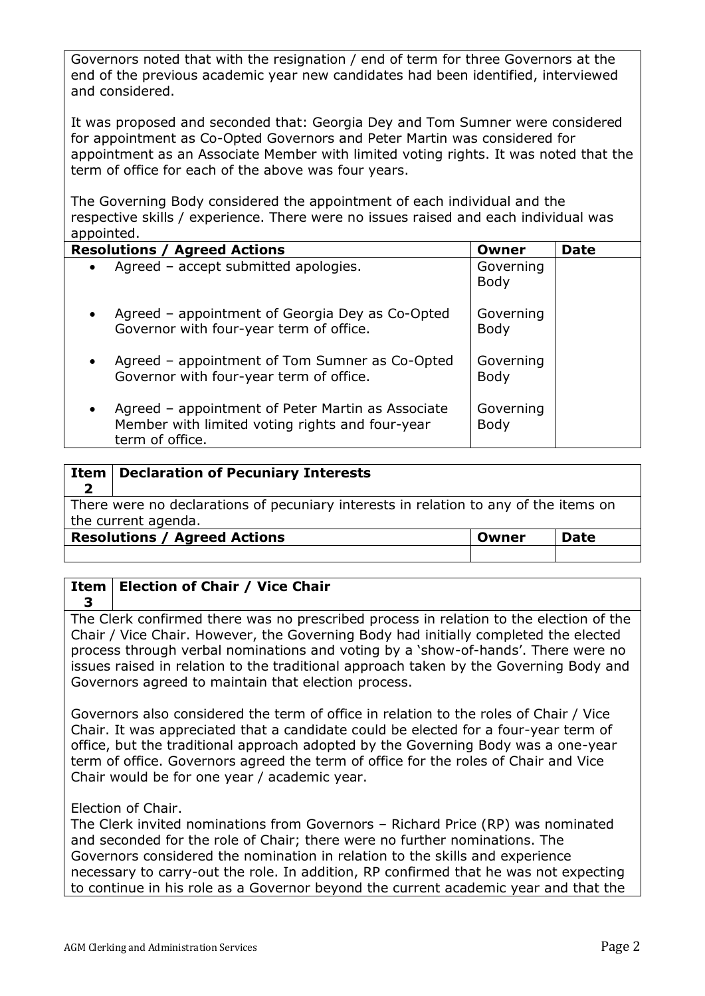Governors noted that with the resignation / end of term for three Governors at the end of the previous academic year new candidates had been identified, interviewed and considered.

It was proposed and seconded that: Georgia Dey and Tom Sumner were considered for appointment as Co-Opted Governors and Peter Martin was considered for appointment as an Associate Member with limited voting rights. It was noted that the term of office for each of the above was four years.

The Governing Body considered the appointment of each individual and the respective skills / experience. There were no issues raised and each individual was appointed.

| <b>Resolutions / Agreed Actions</b>                                                                                                  | Owner                    | <b>Date</b> |
|--------------------------------------------------------------------------------------------------------------------------------------|--------------------------|-------------|
| Agreed - accept submitted apologies.<br>$\bullet$                                                                                    | Governing<br><b>Body</b> |             |
| Agreed – appointment of Georgia Dey as Co-Opted<br>$\bullet$<br>Governor with four-year term of office.                              | Governing<br><b>Body</b> |             |
| Agreed – appointment of Tom Sumner as Co-Opted<br>$\bullet$<br>Governor with four-year term of office.                               | Governing<br><b>Body</b> |             |
| Agreed - appointment of Peter Martin as Associate<br>$\bullet$<br>Member with limited voting rights and four-year<br>term of office. | Governing<br>Body        |             |

| Item                                                                                                        | <b>Declaration of Pecuniary Interests</b> |       |             |
|-------------------------------------------------------------------------------------------------------------|-------------------------------------------|-------|-------------|
| There were no declarations of pecuniary interests in relation to any of the items on<br>the current agenda. |                                           |       |             |
|                                                                                                             | <b>Resolutions / Agreed Actions</b>       | Owner | <b>Date</b> |
|                                                                                                             |                                           |       |             |

#### **Item Election of Chair / Vice Chair**

**3** The Clerk confirmed there was no prescribed process in relation to the election of the Chair / Vice Chair. However, the Governing Body had initially completed the elected process through verbal nominations and voting by a 'show-of-hands'. There were no issues raised in relation to the traditional approach taken by the Governing Body and Governors agreed to maintain that election process.

Governors also considered the term of office in relation to the roles of Chair / Vice Chair. It was appreciated that a candidate could be elected for a four-year term of office, but the traditional approach adopted by the Governing Body was a one-year term of office. Governors agreed the term of office for the roles of Chair and Vice Chair would be for one year / academic year.

Election of Chair.

The Clerk invited nominations from Governors – Richard Price (RP) was nominated and seconded for the role of Chair; there were no further nominations. The Governors considered the nomination in relation to the skills and experience necessary to carry-out the role. In addition, RP confirmed that he was not expecting to continue in his role as a Governor beyond the current academic year and that the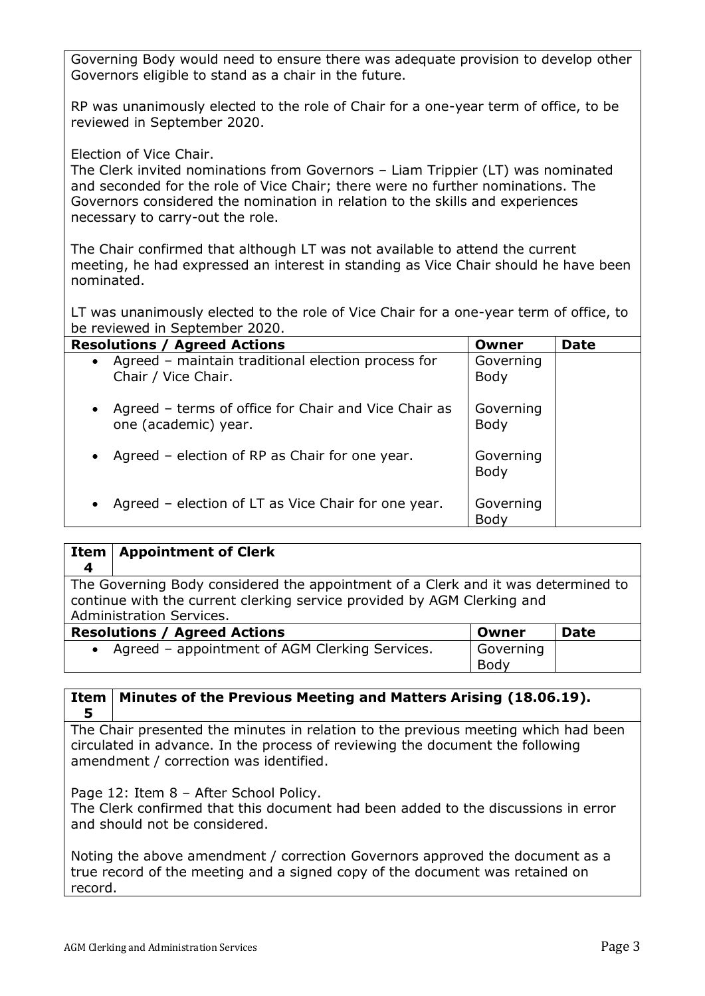Governing Body would need to ensure there was adequate provision to develop other Governors eligible to stand as a chair in the future.

RP was unanimously elected to the role of Chair for a one-year term of office, to be reviewed in September 2020.

Election of Vice Chair.

The Clerk invited nominations from Governors – Liam Trippier (LT) was nominated and seconded for the role of Vice Chair; there were no further nominations. The Governors considered the nomination in relation to the skills and experiences necessary to carry-out the role.

The Chair confirmed that although LT was not available to attend the current meeting, he had expressed an interest in standing as Vice Chair should he have been nominated.

LT was unanimously elected to the role of Vice Chair for a one-year term of office, to be reviewed in September 2020.

| <b>Resolutions / Agreed Actions</b>                                                       | Owner                    | <b>Date</b> |
|-------------------------------------------------------------------------------------------|--------------------------|-------------|
| • Agreed – maintain traditional election process for<br>Chair / Vice Chair.               | Governing<br><b>Body</b> |             |
| Agreed – terms of office for Chair and Vice Chair as<br>$\bullet$<br>one (academic) year. | Governing<br>Body        |             |
| Agreed – election of RP as Chair for one year.<br>$\bullet$                               | Governing<br>Body        |             |
| Agreed - election of LT as Vice Chair for one year.                                       | Governing<br>Body        |             |

| Item                                                                                                                                                                                     | <b>Appointment of Clerk</b>                    |                   |  |
|------------------------------------------------------------------------------------------------------------------------------------------------------------------------------------------|------------------------------------------------|-------------------|--|
| $\boldsymbol{4}$                                                                                                                                                                         |                                                |                   |  |
| The Governing Body considered the appointment of a Clerk and it was determined to<br>continue with the current clerking service provided by AGM Clerking and<br>Administration Services. |                                                |                   |  |
| <b>Resolutions / Agreed Actions</b><br><b>Date</b><br>Owner                                                                                                                              |                                                |                   |  |
| $\bullet$                                                                                                                                                                                | Agreed - appointment of AGM Clerking Services. | Governing<br>Body |  |

### **Item Minutes of the Previous Meeting and Matters Arising (18.06.19). 5**

The Chair presented the minutes in relation to the previous meeting which had been circulated in advance. In the process of reviewing the document the following amendment / correction was identified.

Page 12: Item 8 - After School Policy.

The Clerk confirmed that this document had been added to the discussions in error and should not be considered.

Noting the above amendment / correction Governors approved the document as a true record of the meeting and a signed copy of the document was retained on record.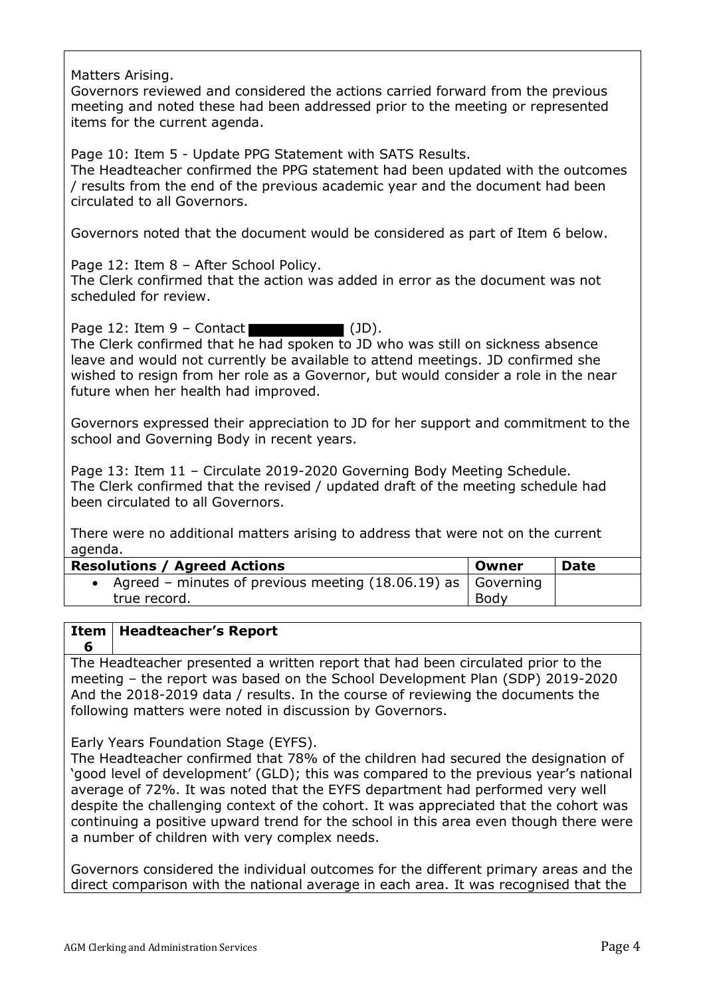Matters Arising.

Governors reviewed and considered the actions carried forward from the previous meeting and noted these had been addressed prior to the meeting or represented items for the current agenda.

Page 10: Item 5 - Update PPG Statement with SATS Results. The Headteacher confirmed the PPG statement had been updated with the outcomes / results from the end of the previous academic year and the document had been circulated to all Governors.

Governors noted that the document would be considered as part of Item 6 below.

Page 12: Item 8 - After School Policy.

The Clerk confirmed that the action was added in error as the document was not scheduled for review.

Page 12: Item  $9 -$  Contact  $\blacksquare$  (JD).

The Clerk confirmed that he had spoken to JD who was still on sickness absence leave and would not currently be available to attend meetings. JD confirmed she wished to resign from her role as a Governor, but would consider a role in the near future when her health had improved.

Governors expressed their appreciation to JD for her support and commitment to the school and Governing Body in recent years.

Page 13: Item 11 – Circulate 2019-2020 Governing Body Meeting Schedule. The Clerk confirmed that the revised / updated draft of the meeting schedule had been circulated to all Governors.

There were no additional matters arising to address that were not on the current agenda.

| <b>Resolutions / Agreed Actions</b>                                    | Owner | <b>Date</b> |
|------------------------------------------------------------------------|-------|-------------|
| Agreed – minutes of previous meeting $(18.06.19)$ as $\vert$ Governing |       |             |
| true record.                                                           | Body  |             |

#### **Item Headteacher's Report**

**6** The Headteacher presented a written report that had been circulated prior to the meeting – the report was based on the School Development Plan (SDP) 2019-2020 And the 2018-2019 data / results. In the course of reviewing the documents the following matters were noted in discussion by Governors.

Early Years Foundation Stage (EYFS).

The Headteacher confirmed that 78% of the children had secured the designation of 'good level of development' (GLD); this was compared to the previous year's national average of 72%. It was noted that the EYFS department had performed very well despite the challenging context of the cohort. It was appreciated that the cohort was continuing a positive upward trend for the school in this area even though there were a number of children with very complex needs.

Governors considered the individual outcomes for the different primary areas and the direct comparison with the national average in each area. It was recognised that the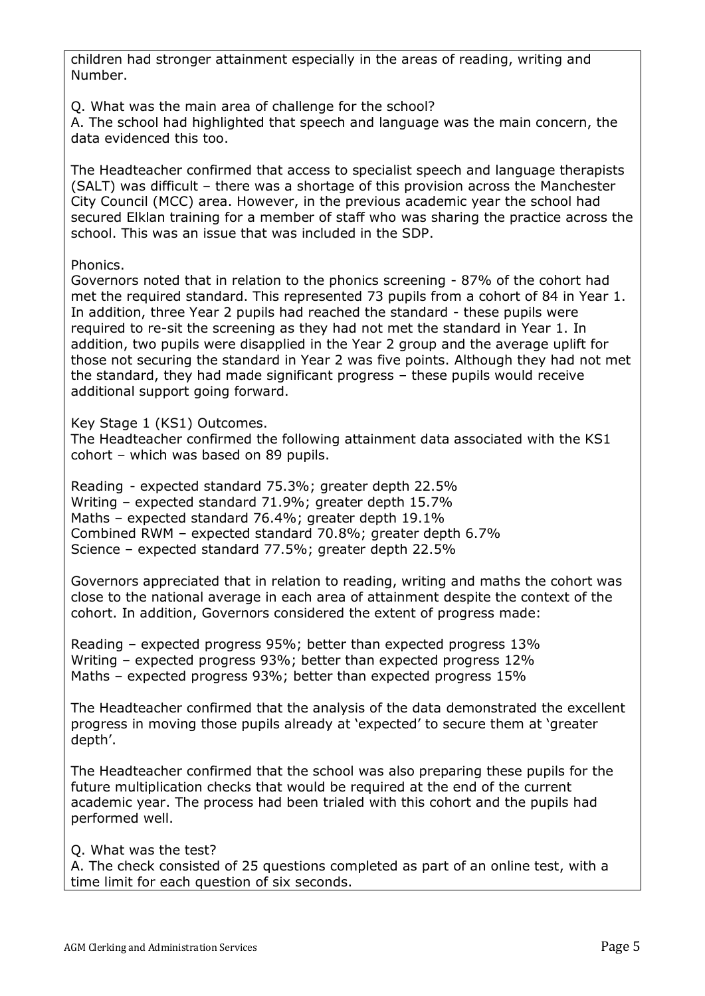children had stronger attainment especially in the areas of reading, writing and Number.

Q. What was the main area of challenge for the school?

A. The school had highlighted that speech and language was the main concern, the data evidenced this too.

The Headteacher confirmed that access to specialist speech and language therapists (SALT) was difficult – there was a shortage of this provision across the Manchester City Council (MCC) area. However, in the previous academic year the school had secured Elklan training for a member of staff who was sharing the practice across the school. This was an issue that was included in the SDP.

## Phonics.

Governors noted that in relation to the phonics screening - 87% of the cohort had met the required standard. This represented 73 pupils from a cohort of 84 in Year 1. In addition, three Year 2 pupils had reached the standard - these pupils were required to re-sit the screening as they had not met the standard in Year 1. In addition, two pupils were disapplied in the Year 2 group and the average uplift for those not securing the standard in Year 2 was five points. Although they had not met the standard, they had made significant progress – these pupils would receive additional support going forward.

Key Stage 1 (KS1) Outcomes.

The Headteacher confirmed the following attainment data associated with the KS1 cohort – which was based on 89 pupils.

Reading - expected standard 75.3%; greater depth 22.5% Writing – expected standard 71.9%; greater depth 15.7% Maths – expected standard 76.4%; greater depth 19.1% Combined RWM – expected standard 70.8%; greater depth 6.7% Science – expected standard 77.5%; greater depth 22.5%

Governors appreciated that in relation to reading, writing and maths the cohort was close to the national average in each area of attainment despite the context of the cohort. In addition, Governors considered the extent of progress made:

Reading – expected progress 95%; better than expected progress 13% Writing – expected progress 93%; better than expected progress 12% Maths – expected progress 93%; better than expected progress 15%

The Headteacher confirmed that the analysis of the data demonstrated the excellent progress in moving those pupils already at 'expected' to secure them at 'greater depth'.

The Headteacher confirmed that the school was also preparing these pupils for the future multiplication checks that would be required at the end of the current academic year. The process had been trialed with this cohort and the pupils had performed well.

Q. What was the test?

A. The check consisted of 25 questions completed as part of an online test, with a time limit for each question of six seconds.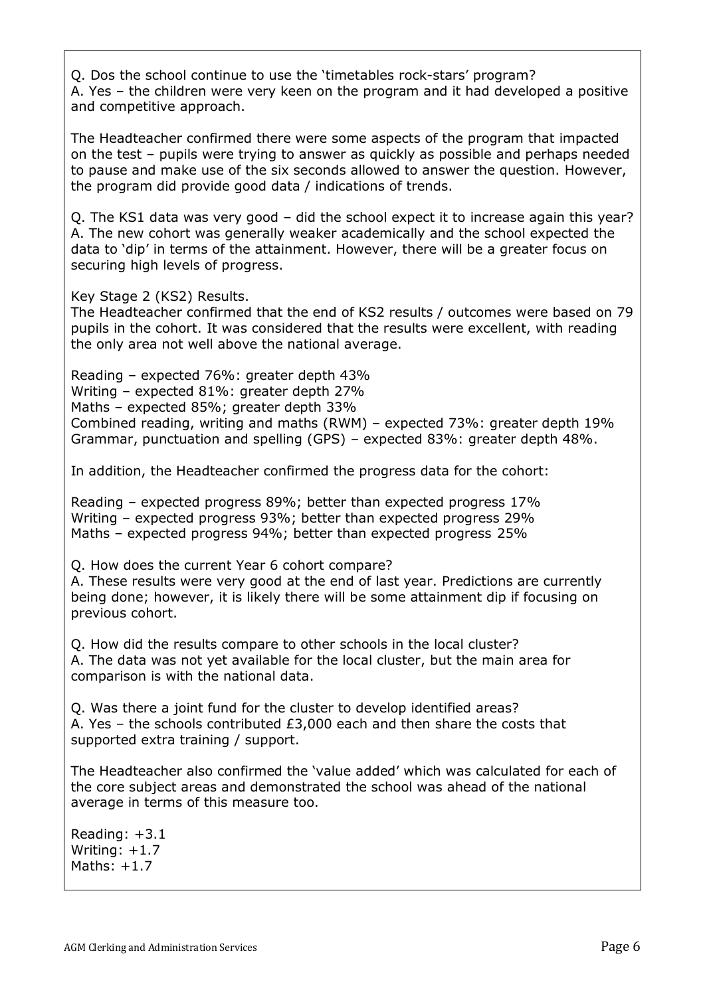Q. Dos the school continue to use the 'timetables rock-stars' program? A. Yes – the children were very keen on the program and it had developed a positive and competitive approach.

The Headteacher confirmed there were some aspects of the program that impacted on the test – pupils were trying to answer as quickly as possible and perhaps needed to pause and make use of the six seconds allowed to answer the question. However, the program did provide good data / indications of trends.

Q. The KS1 data was very good – did the school expect it to increase again this year? A. The new cohort was generally weaker academically and the school expected the data to 'dip' in terms of the attainment. However, there will be a greater focus on securing high levels of progress.

Key Stage 2 (KS2) Results.

The Headteacher confirmed that the end of KS2 results / outcomes were based on 79 pupils in the cohort. It was considered that the results were excellent, with reading the only area not well above the national average.

Reading – expected 76%: greater depth 43% Writing – expected 81%: greater depth 27% Maths – expected 85%; greater depth 33% Combined reading, writing and maths (RWM) – expected 73%: greater depth 19% Grammar, punctuation and spelling (GPS) – expected 83%: greater depth 48%.

In addition, the Headteacher confirmed the progress data for the cohort:

Reading – expected progress 89%; better than expected progress 17% Writing – expected progress 93%; better than expected progress 29% Maths – expected progress 94%; better than expected progress 25%

Q. How does the current Year 6 cohort compare?

A. These results were very good at the end of last year. Predictions are currently being done; however, it is likely there will be some attainment dip if focusing on previous cohort.

Q. How did the results compare to other schools in the local cluster? A. The data was not yet available for the local cluster, but the main area for comparison is with the national data.

Q. Was there a joint fund for the cluster to develop identified areas? A. Yes – the schools contributed £3,000 each and then share the costs that supported extra training / support.

The Headteacher also confirmed the 'value added' which was calculated for each of the core subject areas and demonstrated the school was ahead of the national average in terms of this measure too.

Reading: +3.1 Writing: +1.7 Maths: +1.7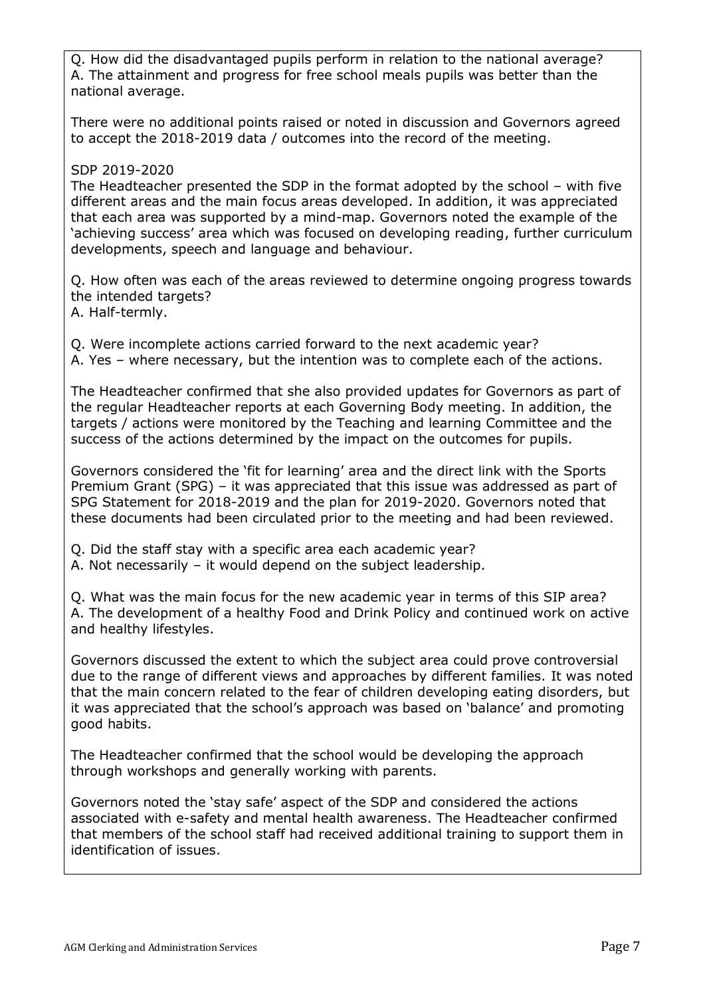Q. How did the disadvantaged pupils perform in relation to the national average? A. The attainment and progress for free school meals pupils was better than the national average.

There were no additional points raised or noted in discussion and Governors agreed to accept the 2018-2019 data / outcomes into the record of the meeting.

## SDP 2019-2020

The Headteacher presented the SDP in the format adopted by the school – with five different areas and the main focus areas developed. In addition, it was appreciated that each area was supported by a mind-map. Governors noted the example of the 'achieving success' area which was focused on developing reading, further curriculum developments, speech and language and behaviour.

Q. How often was each of the areas reviewed to determine ongoing progress towards the intended targets? A. Half-termly.

Q. Were incomplete actions carried forward to the next academic year? A. Yes – where necessary, but the intention was to complete each of the actions.

The Headteacher confirmed that she also provided updates for Governors as part of the regular Headteacher reports at each Governing Body meeting. In addition, the targets / actions were monitored by the Teaching and learning Committee and the success of the actions determined by the impact on the outcomes for pupils.

Governors considered the 'fit for learning' area and the direct link with the Sports Premium Grant (SPG) – it was appreciated that this issue was addressed as part of SPG Statement for 2018-2019 and the plan for 2019-2020. Governors noted that these documents had been circulated prior to the meeting and had been reviewed.

Q. Did the staff stay with a specific area each academic year?

A. Not necessarily – it would depend on the subject leadership.

Q. What was the main focus for the new academic year in terms of this SIP area? A. The development of a healthy Food and Drink Policy and continued work on active and healthy lifestyles.

Governors discussed the extent to which the subject area could prove controversial due to the range of different views and approaches by different families. It was noted that the main concern related to the fear of children developing eating disorders, but it was appreciated that the school's approach was based on 'balance' and promoting good habits.

The Headteacher confirmed that the school would be developing the approach through workshops and generally working with parents.

Governors noted the 'stay safe' aspect of the SDP and considered the actions associated with e-safety and mental health awareness. The Headteacher confirmed that members of the school staff had received additional training to support them in identification of issues.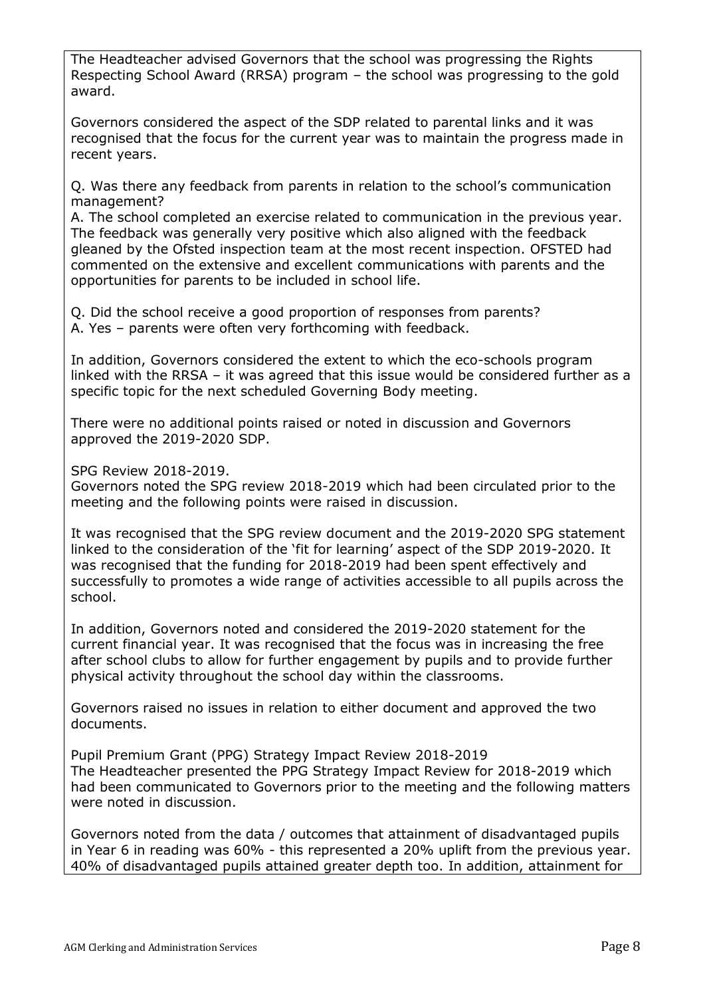The Headteacher advised Governors that the school was progressing the Rights Respecting School Award (RRSA) program – the school was progressing to the gold award.

Governors considered the aspect of the SDP related to parental links and it was recognised that the focus for the current year was to maintain the progress made in recent years.

Q. Was there any feedback from parents in relation to the school's communication management?

A. The school completed an exercise related to communication in the previous year. The feedback was generally very positive which also aligned with the feedback gleaned by the Ofsted inspection team at the most recent inspection. OFSTED had commented on the extensive and excellent communications with parents and the opportunities for parents to be included in school life.

Q. Did the school receive a good proportion of responses from parents? A. Yes – parents were often very forthcoming with feedback.

In addition, Governors considered the extent to which the eco-schools program linked with the RRSA – it was agreed that this issue would be considered further as a specific topic for the next scheduled Governing Body meeting.

There were no additional points raised or noted in discussion and Governors approved the 2019-2020 SDP.

SPG Review 2018-2019.

Governors noted the SPG review 2018-2019 which had been circulated prior to the meeting and the following points were raised in discussion.

It was recognised that the SPG review document and the 2019-2020 SPG statement linked to the consideration of the 'fit for learning' aspect of the SDP 2019-2020. It was recognised that the funding for 2018-2019 had been spent effectively and successfully to promotes a wide range of activities accessible to all pupils across the school.

In addition, Governors noted and considered the 2019-2020 statement for the current financial year. It was recognised that the focus was in increasing the free after school clubs to allow for further engagement by pupils and to provide further physical activity throughout the school day within the classrooms.

Governors raised no issues in relation to either document and approved the two documents.

Pupil Premium Grant (PPG) Strategy Impact Review 2018-2019 The Headteacher presented the PPG Strategy Impact Review for 2018-2019 which had been communicated to Governors prior to the meeting and the following matters were noted in discussion.

Governors noted from the data / outcomes that attainment of disadvantaged pupils in Year 6 in reading was 60% - this represented a 20% uplift from the previous year. 40% of disadvantaged pupils attained greater depth too. In addition, attainment for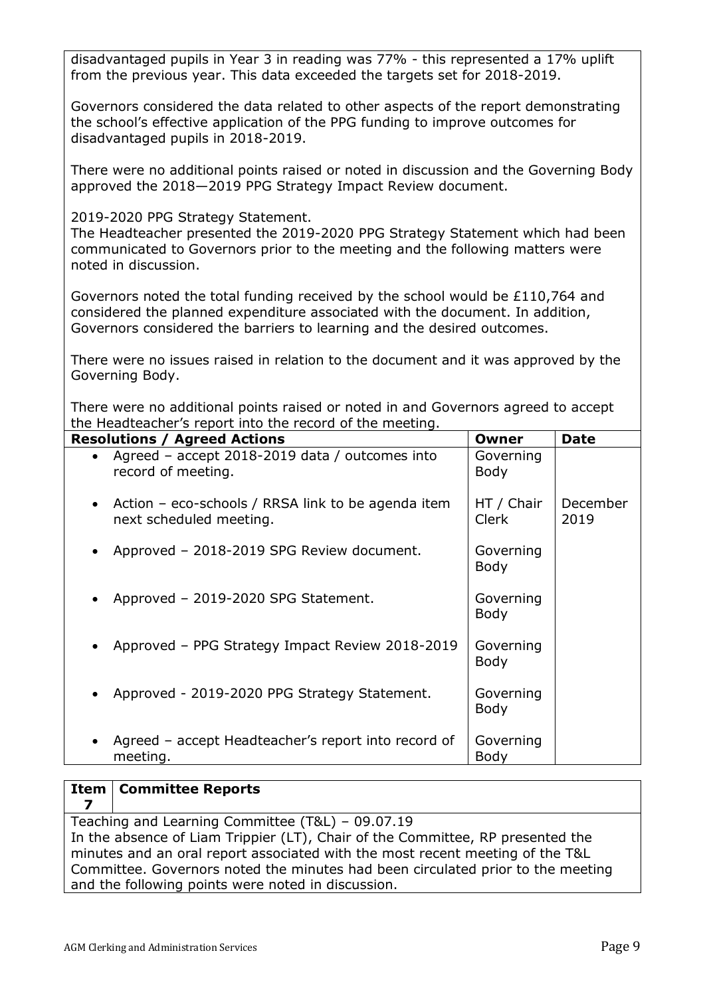disadvantaged pupils in Year 3 in reading was 77% - this represented a 17% uplift from the previous year. This data exceeded the targets set for 2018-2019.

Governors considered the data related to other aspects of the report demonstrating the school's effective application of the PPG funding to improve outcomes for disadvantaged pupils in 2018-2019.

There were no additional points raised or noted in discussion and the Governing Body approved the 2018—2019 PPG Strategy Impact Review document.

2019-2020 PPG Strategy Statement.

The Headteacher presented the 2019-2020 PPG Strategy Statement which had been communicated to Governors prior to the meeting and the following matters were noted in discussion.

Governors noted the total funding received by the school would be £110,764 and considered the planned expenditure associated with the document. In addition, Governors considered the barriers to learning and the desired outcomes.

There were no issues raised in relation to the document and it was approved by the Governing Body.

There were no additional points raised or noted in and Governors agreed to accept the Headteacher's report into the record of the meeting.

| <b>Resolutions / Agreed Actions</b>                                               | Owner                    | <b>Date</b>      |
|-----------------------------------------------------------------------------------|--------------------------|------------------|
| Agreed - accept 2018-2019 data / outcomes into<br>$\bullet$<br>record of meeting. | Governing<br><b>Body</b> |                  |
| • Action – eco-schools / RRSA link to be agenda item<br>next scheduled meeting.   | HT / Chair<br>Clerk      | December<br>2019 |
| Approved - 2018-2019 SPG Review document.                                         | Governing<br>Body        |                  |
| Approved - 2019-2020 SPG Statement.<br>$\bullet$                                  | Governing<br><b>Body</b> |                  |
| Approved - PPG Strategy Impact Review 2018-2019                                   | Governing<br>Body        |                  |
| Approved - 2019-2020 PPG Strategy Statement.                                      | Governing<br>Body        |                  |
| Agreed – accept Headteacher's report into record of<br>$\bullet$<br>meeting.      | Governing<br>Body        |                  |

#### **Item 7 Committee Reports** Teaching and Learning Committee (T&L) – 09.07.19 In the absence of Liam Trippier (LT), Chair of the Committee, RP presented the minutes and an oral report associated with the most recent meeting of the T&L Committee. Governors noted the minutes had been circulated prior to the meeting and the following points were noted in discussion.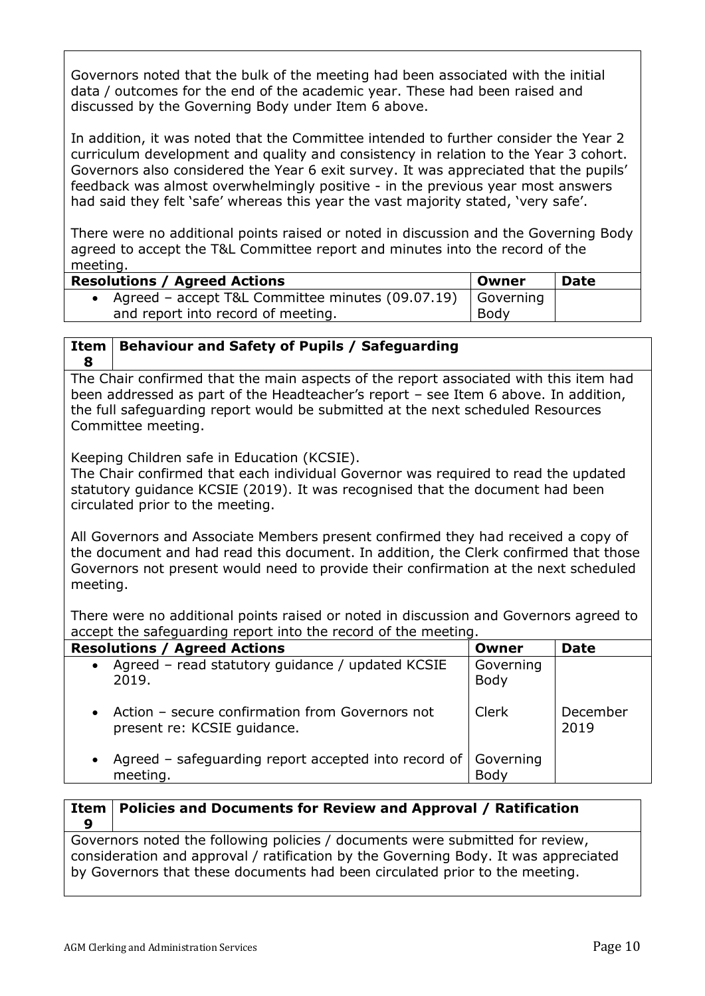Governors noted that the bulk of the meeting had been associated with the initial data / outcomes for the end of the academic year. These had been raised and discussed by the Governing Body under Item 6 above.

In addition, it was noted that the Committee intended to further consider the Year 2 curriculum development and quality and consistency in relation to the Year 3 cohort. Governors also considered the Year 6 exit survey. It was appreciated that the pupils' feedback was almost overwhelmingly positive - in the previous year most answers had said they felt 'safe' whereas this year the vast majority stated, 'very safe'.

There were no additional points raised or noted in discussion and the Governing Body agreed to accept the T&L Committee report and minutes into the record of the meeting.

| <b>Resolutions / Agreed Actions</b>              | Owner     | Date |
|--------------------------------------------------|-----------|------|
| Agreed – accept T&L Committee minutes (09.07.19) | Governing |      |
| and report into record of meeting.               | Body      |      |

#### **Item 8 Behaviour and Safety of Pupils / Safeguarding**

The Chair confirmed that the main aspects of the report associated with this item had been addressed as part of the Headteacher's report – see Item 6 above. In addition, the full safeguarding report would be submitted at the next scheduled Resources Committee meeting.

Keeping Children safe in Education (KCSIE).

The Chair confirmed that each individual Governor was required to read the updated statutory guidance KCSIE (2019). It was recognised that the document had been circulated prior to the meeting.

All Governors and Associate Members present confirmed they had received a copy of the document and had read this document. In addition, the Clerk confirmed that those Governors not present would need to provide their confirmation at the next scheduled meeting.

There were no additional points raised or noted in discussion and Governors agreed to accept the safeguarding report into the record of the meeting.

| <b>Resolutions / Agreed Actions</b>                                                         | Owner             | <b>Date</b>      |
|---------------------------------------------------------------------------------------------|-------------------|------------------|
| Agreed - read statutory guidance / updated KCSIE<br>$\bullet$<br>2019.                      | Governing<br>Body |                  |
| Action – secure confirmation from Governors not<br>$\bullet$<br>present re: KCSIE guidance. | Clerk             | December<br>2019 |
| Agreed – safeguarding report accepted into record of<br>$\bullet$<br>meeting.               | Governing<br>Body |                  |

**Item 9 Policies and Documents for Review and Approval / Ratification** Governors noted the following policies / documents were submitted for review, consideration and approval / ratification by the Governing Body. It was appreciated by Governors that these documents had been circulated prior to the meeting.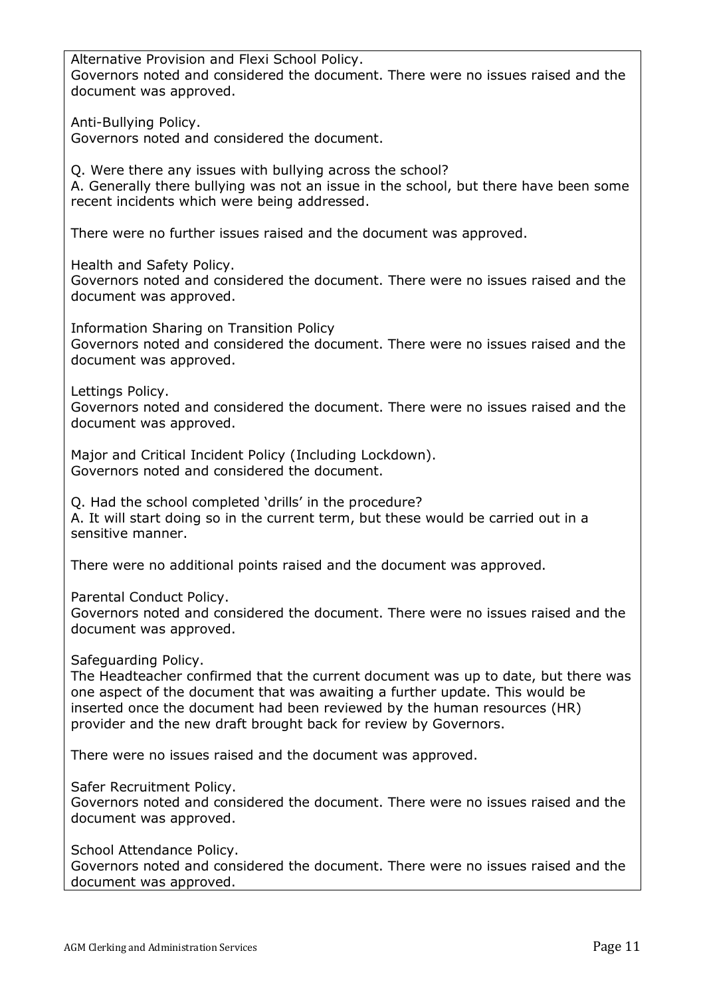Alternative Provision and Flexi School Policy. Governors noted and considered the document. There were no issues raised and the document was approved.

Anti-Bullying Policy. Governors noted and considered the document.

Q. Were there any issues with bullying across the school?

A. Generally there bullying was not an issue in the school, but there have been some recent incidents which were being addressed.

There were no further issues raised and the document was approved.

Health and Safety Policy.

Governors noted and considered the document. There were no issues raised and the document was approved.

Information Sharing on Transition Policy Governors noted and considered the document. There were no issues raised and the document was approved.

Lettings Policy.

Governors noted and considered the document. There were no issues raised and the document was approved.

Major and Critical Incident Policy (Including Lockdown). Governors noted and considered the document.

Q. Had the school completed 'drills' in the procedure? A. It will start doing so in the current term, but these would be carried out in a sensitive manner.

There were no additional points raised and the document was approved.

Parental Conduct Policy.

Governors noted and considered the document. There were no issues raised and the document was approved.

Safeguarding Policy.

The Headteacher confirmed that the current document was up to date, but there was one aspect of the document that was awaiting a further update. This would be inserted once the document had been reviewed by the human resources (HR) provider and the new draft brought back for review by Governors.

There were no issues raised and the document was approved.

Safer Recruitment Policy.

Governors noted and considered the document. There were no issues raised and the document was approved.

School Attendance Policy.

Governors noted and considered the document. There were no issues raised and the document was approved.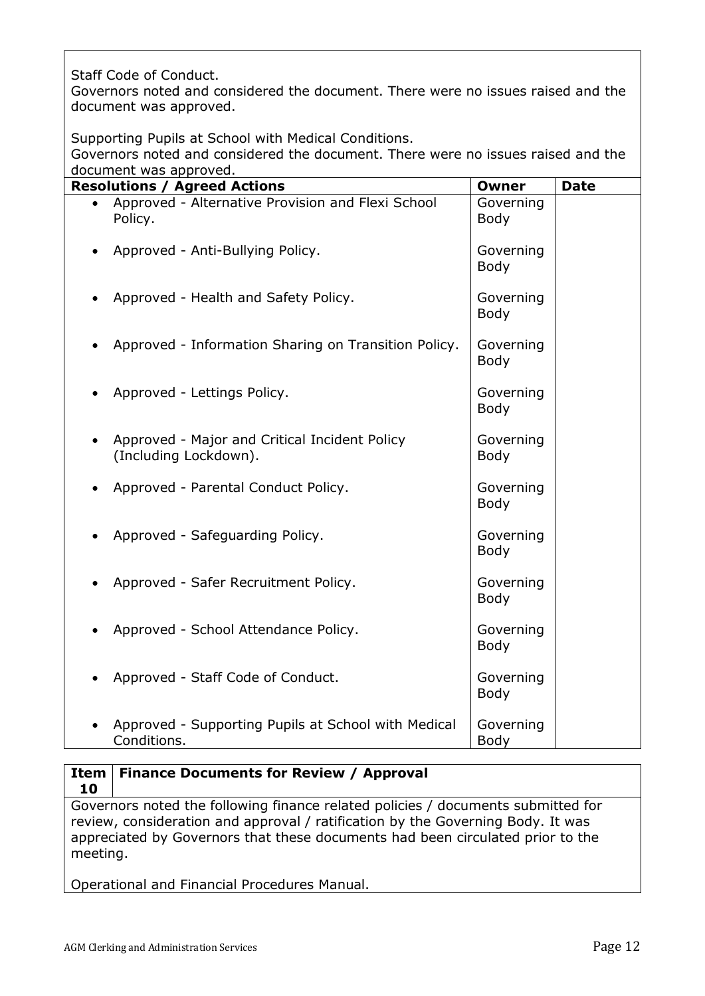Staff Code of Conduct.

Governors noted and considered the document. There were no issues raised and the document was approved.

Supporting Pupils at School with Medical Conditions.

Governors noted and considered the document. There were no issues raised and the document was approved.

| <b>Resolutions / Agreed Actions</b> |                                                                        | <b>Owner</b>             | <b>Date</b> |
|-------------------------------------|------------------------------------------------------------------------|--------------------------|-------------|
|                                     | Approved - Alternative Provision and Flexi School<br>Policy.           | Governing<br><b>Body</b> |             |
|                                     | Approved - Anti-Bullying Policy.                                       | Governing<br><b>Body</b> |             |
|                                     | Approved - Health and Safety Policy.                                   | Governing<br><b>Body</b> |             |
|                                     | Approved - Information Sharing on Transition Policy.                   | Governing<br>Body        |             |
|                                     | Approved - Lettings Policy.                                            | Governing<br>Body        |             |
|                                     | Approved - Major and Critical Incident Policy<br>(Including Lockdown). | Governing<br><b>Body</b> |             |
| $\bullet$                           | Approved - Parental Conduct Policy.                                    | Governing<br><b>Body</b> |             |
|                                     | Approved - Safeguarding Policy.                                        | Governing<br><b>Body</b> |             |
|                                     | Approved - Safer Recruitment Policy.                                   | Governing<br><b>Body</b> |             |
|                                     | Approved - School Attendance Policy.                                   | Governing<br><b>Body</b> |             |
|                                     | Approved - Staff Code of Conduct.                                      | Governing<br><b>Body</b> |             |
|                                     | Approved - Supporting Pupils at School with Medical<br>Conditions.     | Governing<br>Body        |             |

### **Item Finance Documents for Review / Approval 10**

Governors noted the following finance related policies / documents submitted for review, consideration and approval / ratification by the Governing Body. It was appreciated by Governors that these documents had been circulated prior to the meeting.

Operational and Financial Procedures Manual.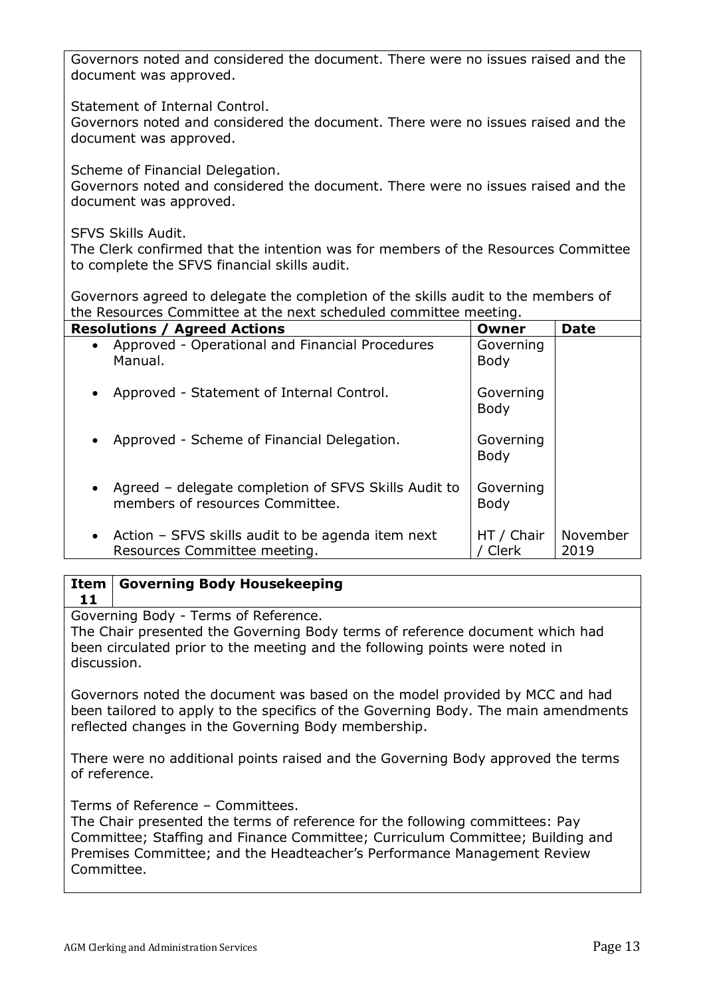Governors noted and considered the document. There were no issues raised and the document was approved.

Statement of Internal Control.

Governors noted and considered the document. There were no issues raised and the document was approved.

Scheme of Financial Delegation.

Governors noted and considered the document. There were no issues raised and the document was approved.

SFVS Skills Audit.

The Clerk confirmed that the intention was for members of the Resources Committee to complete the SFVS financial skills audit.

Governors agreed to delegate the completion of the skills audit to the members of the Resources Committee at the next scheduled committee meeting.

| <b>Resolutions / Agreed Actions</b>                                                            | Owner                    | <b>Date</b>      |
|------------------------------------------------------------------------------------------------|--------------------------|------------------|
| • Approved - Operational and Financial Procedures<br>Manual.                                   | Governing<br><b>Body</b> |                  |
| • Approved - Statement of Internal Control.                                                    | Governing<br>Body        |                  |
| • Approved - Scheme of Financial Delegation.                                                   | Governing<br>Body        |                  |
| • Agreed – delegate completion of SFVS Skills Audit to<br>members of resources Committee.      | Governing<br>Body        |                  |
| Action – SFVS skills audit to be agenda item next<br>$\bullet$<br>Resources Committee meeting. | HT / Chair<br>Clerk      | November<br>2019 |

#### **Item Governing Body Housekeeping**

**11**

Governing Body - Terms of Reference.

The Chair presented the Governing Body terms of reference document which had been circulated prior to the meeting and the following points were noted in discussion.

Governors noted the document was based on the model provided by MCC and had been tailored to apply to the specifics of the Governing Body. The main amendments reflected changes in the Governing Body membership.

There were no additional points raised and the Governing Body approved the terms of reference.

Terms of Reference – Committees.

The Chair presented the terms of reference for the following committees: Pay Committee; Staffing and Finance Committee; Curriculum Committee; Building and Premises Committee; and the Headteacher's Performance Management Review Committee.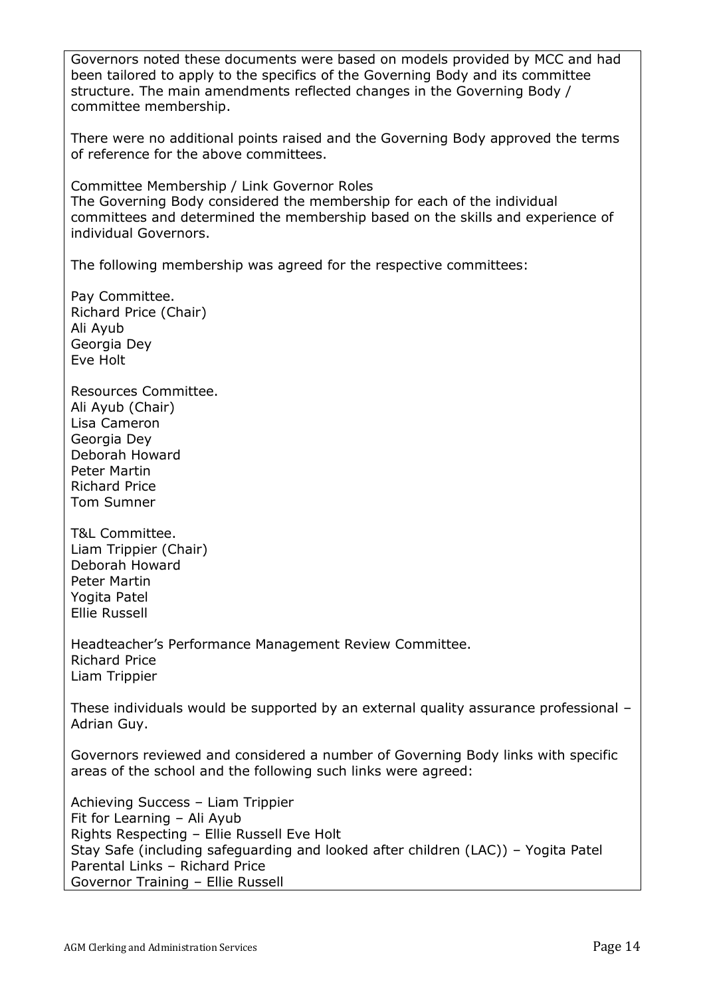Governors noted these documents were based on models provided by MCC and had been tailored to apply to the specifics of the Governing Body and its committee structure. The main amendments reflected changes in the Governing Body / committee membership.

There were no additional points raised and the Governing Body approved the terms of reference for the above committees.

Committee Membership / Link Governor Roles The Governing Body considered the membership for each of the individual committees and determined the membership based on the skills and experience of individual Governors.

The following membership was agreed for the respective committees:

Pay Committee. Richard Price (Chair) Ali Ayub Georgia Dey Eve Holt

Resources Committee. Ali Ayub (Chair) Lisa Cameron Georgia Dey Deborah Howard Peter Martin Richard Price Tom Sumner

T&L Committee. Liam Trippier (Chair) Deborah Howard Peter Martin Yogita Patel Ellie Russell

Headteacher's Performance Management Review Committee. Richard Price Liam Trippier

These individuals would be supported by an external quality assurance professional – Adrian Guy.

Governors reviewed and considered a number of Governing Body links with specific areas of the school and the following such links were agreed:

Achieving Success – Liam Trippier Fit for Learning – Ali Ayub Rights Respecting – Ellie Russell Eve Holt Stay Safe (including safeguarding and looked after children (LAC)) – Yogita Patel Parental Links – Richard Price Governor Training – Ellie Russell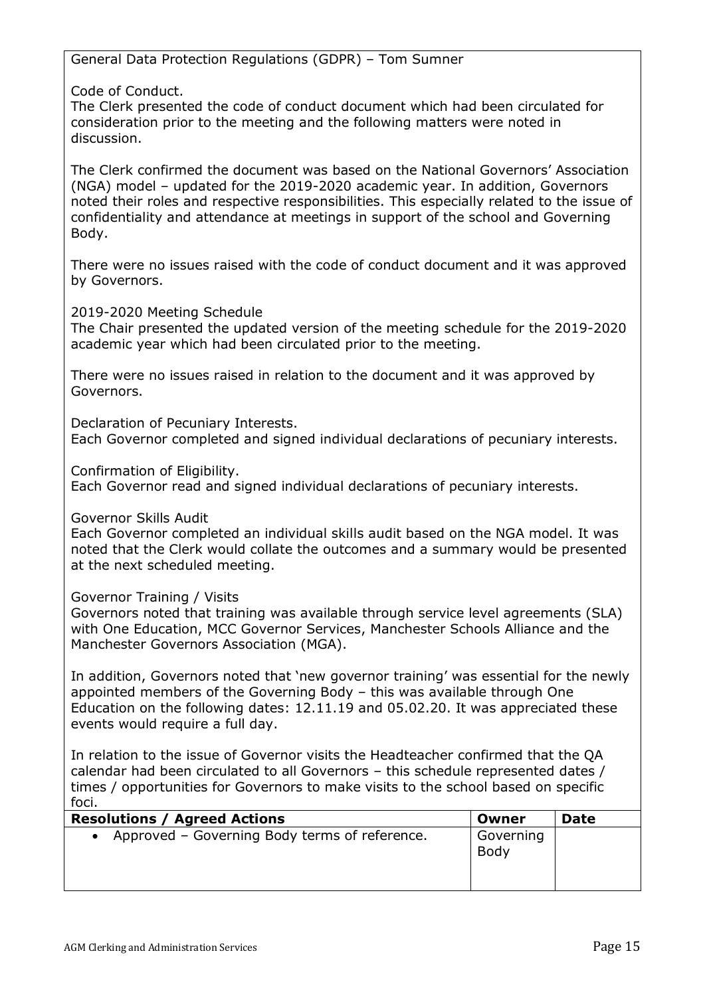General Data Protection Regulations (GDPR) – Tom Sumner

Code of Conduct.

The Clerk presented the code of conduct document which had been circulated for consideration prior to the meeting and the following matters were noted in discussion.

The Clerk confirmed the document was based on the National Governors' Association (NGA) model – updated for the 2019-2020 academic year. In addition, Governors noted their roles and respective responsibilities. This especially related to the issue of confidentiality and attendance at meetings in support of the school and Governing Body.

There were no issues raised with the code of conduct document and it was approved by Governors.

2019-2020 Meeting Schedule

The Chair presented the updated version of the meeting schedule for the 2019-2020 academic year which had been circulated prior to the meeting.

There were no issues raised in relation to the document and it was approved by Governors.

Declaration of Pecuniary Interests. Each Governor completed and signed individual declarations of pecuniary interests.

Confirmation of Eligibility.

Each Governor read and signed individual declarations of pecuniary interests.

Governor Skills Audit

Each Governor completed an individual skills audit based on the NGA model. It was noted that the Clerk would collate the outcomes and a summary would be presented at the next scheduled meeting.

Governor Training / Visits

Governors noted that training was available through service level agreements (SLA) with One Education, MCC Governor Services, Manchester Schools Alliance and the Manchester Governors Association (MGA).

In addition, Governors noted that 'new governor training' was essential for the newly appointed members of the Governing Body – this was available through One Education on the following dates: 12.11.19 and 05.02.20. It was appreciated these events would require a full day.

In relation to the issue of Governor visits the Headteacher confirmed that the QA calendar had been circulated to all Governors – this schedule represented dates / times / opportunities for Governors to make visits to the school based on specific foci.

| <b>Resolutions / Agreed Actions</b>             | Owner             | <b>Date</b> |
|-------------------------------------------------|-------------------|-------------|
| • Approved – Governing Body terms of reference. | Governing<br>Body |             |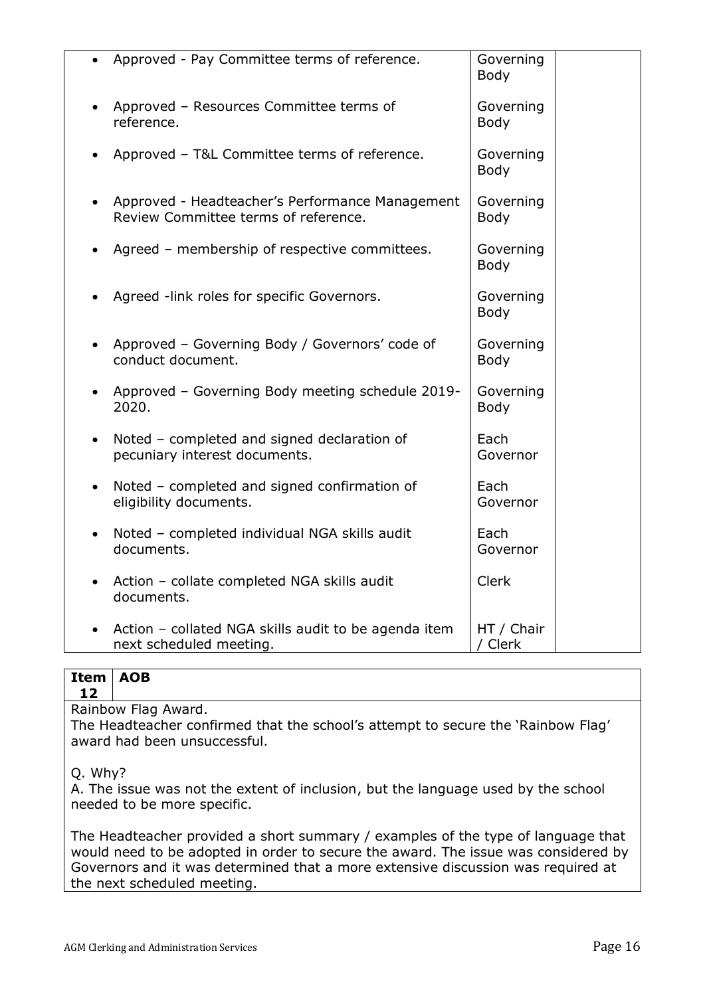| Approved - Pay Committee terms of reference.                                              | Governing<br><b>Body</b> |
|-------------------------------------------------------------------------------------------|--------------------------|
| Approved - Resources Committee terms of<br>reference.                                     | Governing<br><b>Body</b> |
| Approved - T&L Committee terms of reference.                                              | Governing<br>Body        |
| Approved - Headteacher's Performance Management<br>Review Committee terms of reference.   | Governing<br><b>Body</b> |
| Agreed - membership of respective committees.                                             | Governing<br><b>Body</b> |
| Agreed -link roles for specific Governors.                                                | Governing<br><b>Body</b> |
| Approved - Governing Body / Governors' code of<br>conduct document.                       | Governing<br>Body        |
| Approved - Governing Body meeting schedule 2019-<br>2020.                                 | Governing<br>Body        |
| Noted - completed and signed declaration of<br>$\bullet$<br>pecuniary interest documents. | Each<br>Governor         |
| Noted - completed and signed confirmation of<br>$\bullet$<br>eligibility documents.       | Each<br>Governor         |
| Noted - completed individual NGA skills audit<br>$\bullet$<br>documents.                  | Each<br>Governor         |
| Action - collate completed NGA skills audit<br>$\bullet$<br>documents.                    | <b>Clerk</b>             |
| Action - collated NGA skills audit to be agenda item<br>next scheduled meeting.           | HT / Chair<br>/ Clerk    |

#### **Item AOB 12**

Rainbow Flag Award.

The Headteacher confirmed that the school's attempt to secure the 'Rainbow Flag' award had been unsuccessful.

### Q. Why?

A. The issue was not the extent of inclusion, but the language used by the school needed to be more specific.

The Headteacher provided a short summary / examples of the type of language that would need to be adopted in order to secure the award. The issue was considered by Governors and it was determined that a more extensive discussion was required at the next scheduled meeting.